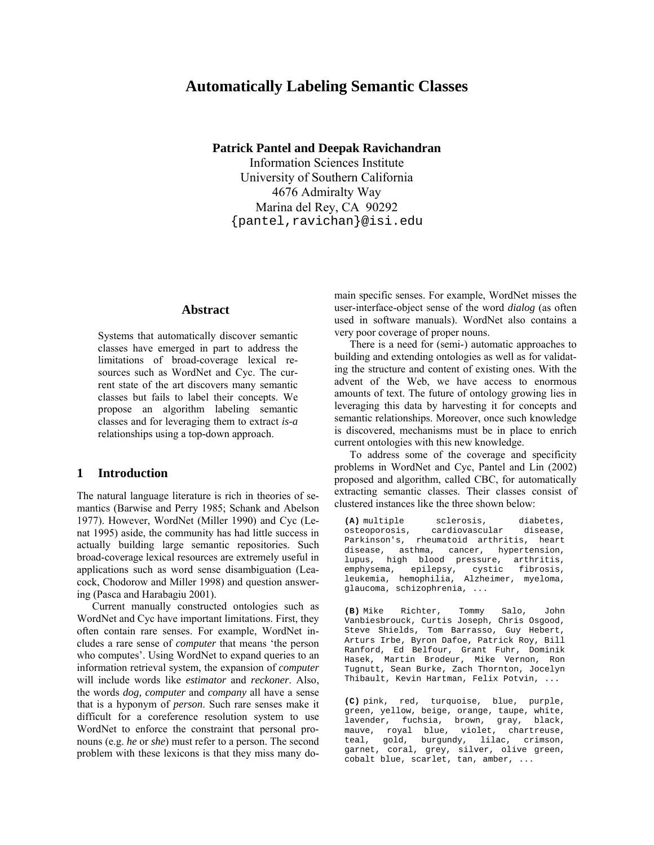# **Automatically Labeling Semantic Classes**

**Patrick Pantel and Deepak Ravichandran** 

Information Sciences Institute University of Southern California 4676 Admiralty Way Marina del Rey, CA 90292 {pantel,ravichan}@isi.edu

### **Abstract**

Systems that automatically discover semantic classes have emerged in part to address the limitations of broad-coverage lexical resources such as WordNet and Cyc. The current state of the art discovers many semantic classes but fails to label their concepts. We propose an algorithm labeling semantic classes and for leveraging them to extract *is-a* relationships using a top-down approach.

### **1 Introduction**

The natural language literature is rich in theories of semantics (Barwise and Perry 1985; Schank and Abelson 1977). However, WordNet (Miller 1990) and Cyc (Lenat 1995) aside, the community has had little success in actually building large semantic repositories. Such broad-coverage lexical resources are extremely useful in applications such as word sense disambiguation (Leacock, Chodorow and Miller 1998) and question answering (Pasca and Harabagiu 2001).

Current manually constructed ontologies such as WordNet and Cyc have important limitations. First, they often contain rare senses. For example, WordNet includes a rare sense of *computer* that means 'the person who computes'. Using WordNet to expand queries to an information retrieval system, the expansion of *computer* will include words like *estimator* and *reckoner*. Also, the words *dog, computer* and *company* all have a sense that is a hyponym of *person*. Such rare senses make it difficult for a coreference resolution system to use WordNet to enforce the constraint that personal pronouns (e.g. *he* or *she*) must refer to a person. The second problem with these lexicons is that they miss many domain specific senses. For example, WordNet misses the user-interface-object sense of the word *dialog* (as often used in software manuals). WordNet also contains a very poor coverage of proper nouns.

There is a need for (semi-) automatic approaches to building and extending ontologies as well as for validating the structure and content of existing ones. With the advent of the Web, we have access to enormous amounts of text. The future of ontology growing lies in leveraging this data by harvesting it for concepts and semantic relationships. Moreover, once such knowledge is discovered, mechanisms must be in place to enrich current ontologies with this new knowledge.

To address some of the coverage and specificity problems in WordNet and Cyc, Pantel and Lin (2002) proposed and algorithm, called CBC, for automatically extracting semantic classes. Their classes consist of clustered instances like the three shown below:

**(A)** multiple sclerosis, diabetes, osteoporosis, cardiovascular disease, Parkinson's, rheumatoid arthritis, heart disease, asthma, cancer, hypertension, lupus, high blood pressure, arthritis,<br>emphysema, epilepsy, cystic fibrosis, emphysema, epilepsy, cystic fibrosis, leukemia, hemophilia, Alzheimer, myeloma, glaucoma, schizophrenia, ...

**(B)** Mike Richter, Tommy Salo, John Vanbiesbrouck, Curtis Joseph, Chris Osgood, Steve Shields, Tom Barrasso, Guy Hebert, Arturs Irbe, Byron Dafoe, Patrick Roy, Bill Ranford, Ed Belfour, Grant Fuhr, Dominik Hasek, Martin Brodeur, Mike Vernon, Ron Tugnutt, Sean Burke, Zach Thornton, Jocelyn Thibault, Kevin Hartman, Felix Potvin, ...

**(C)** pink, red, turquoise, blue, purple, green, yellow, beige, orange, taupe, white, lavender, fuchsia, brown, gray, black, mauve, royal blue, violet, chartreuse, teal, gold, burgundy, lilac, crimson, garnet, coral, grey, silver, olive green, cobalt blue, scarlet, tan, amber, ...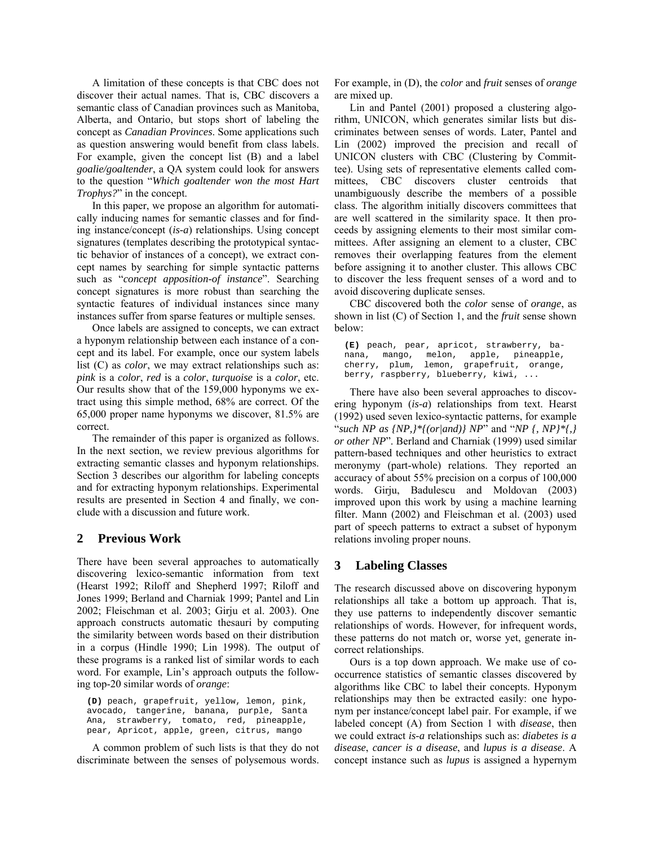A limitation of these concepts is that CBC does not discover their actual names. That is, CBC discovers a semantic class of Canadian provinces such as Manitoba, Alberta, and Ontario, but stops short of labeling the concept as *Canadian Provinces*. Some applications such as question answering would benefit from class labels. For example, given the concept list (B) and a label *goalie/goaltender*, a QA system could look for answers to the question "Which goaltender won the most Hart *Trophys?*î in the concept.

In this paper, we propose an algorithm for automatically inducing names for semantic classes and for finding instance/concept (*is-a*) relationships. Using concept signatures (templates describing the prototypical syntactic behavior of instances of a concept), we extract concept names by searching for simple syntactic patterns such as "*concept apposition-of instance*". Searching concept signatures is more robust than searching the syntactic features of individual instances since many instances suffer from sparse features or multiple senses.

Once labels are assigned to concepts, we can extract a hyponym relationship between each instance of a concept and its label. For example, once our system labels list (C) as *color*, we may extract relationships such as: *pink* is a *color*, *red* is a *color*, *turquoise* is a *color*, etc. Our results show that of the 159,000 hyponyms we extract using this simple method, 68% are correct. Of the 65,000 proper name hyponyms we discover, 81.5% are correct.

The remainder of this paper is organized as follows. In the next section, we review previous algorithms for extracting semantic classes and hyponym relationships. Section 3 describes our algorithm for labeling concepts and for extracting hyponym relationships. Experimental results are presented in Section 4 and finally, we conclude with a discussion and future work.

## **2 Previous Work**

There have been several approaches to automatically discovering lexico-semantic information from text (Hearst 1992; Riloff and Shepherd 1997; Riloff and Jones 1999; Berland and Charniak 1999; Pantel and Lin 2002; Fleischman et al. 2003; Girju et al. 2003). One approach constructs automatic thesauri by computing the similarity between words based on their distribution in a corpus (Hindle 1990; Lin 1998). The output of these programs is a ranked list of similar words to each word. For example, Lin's approach outputs the following top-20 similar words of *orange*:

**(D)** peach, grapefruit, yellow, lemon, pink, avocado, tangerine, banana, purple, Santa Ana, strawberry, tomato, red, pineapple, pear, Apricot, apple, green, citrus, mango

A common problem of such lists is that they do not discriminate between the senses of polysemous words.

For example, in (D), the *color* and *fruit* senses of *orange* are mixed up.

Lin and Pantel (2001) proposed a clustering algorithm, UNICON, which generates similar lists but discriminates between senses of words. Later, Pantel and Lin (2002) improved the precision and recall of UNICON clusters with CBC (Clustering by Committee). Using sets of representative elements called committees, CBC discovers cluster centroids that unambiguously describe the members of a possible class. The algorithm initially discovers committees that are well scattered in the similarity space. It then proceeds by assigning elements to their most similar committees. After assigning an element to a cluster, CBC removes their overlapping features from the element before assigning it to another cluster. This allows CBC to discover the less frequent senses of a word and to avoid discovering duplicate senses.

CBC discovered both the *color* sense of *orange*, as shown in list (C) of Section 1, and the *fruit* sense shown below:

**(E)** peach, pear, apricot, strawberry, banana, mango, melon, apple, pineapple, cherry, plum, lemon, grapefruit, orange, berry, raspberry, blueberry, kiwi, ...

There have also been several approaches to discovering hyponym (*is-a*) relationships from text. Hearst (1992) used seven lexico-syntactic patterns, for example *<sup><i>s*</sup>such NP as {NP,}\*{(or|and)} NP<sup>*n*</sup> and  $^{n}NP$  {, NP}\*{,} *or other NP*î. Berland and Charniak (1999) used similar pattern-based techniques and other heuristics to extract meronymy (part-whole) relations. They reported an accuracy of about 55% precision on a corpus of 100,000 words. Girju, Badulescu and Moldovan (2003) improved upon this work by using a machine learning filter. Mann (2002) and Fleischman et al. (2003) used part of speech patterns to extract a subset of hyponym relations involing proper nouns.

# **3 Labeling Classes**

The research discussed above on discovering hyponym relationships all take a bottom up approach. That is, they use patterns to independently discover semantic relationships of words. However, for infrequent words, these patterns do not match or, worse yet, generate incorrect relationships.

Ours is a top down approach. We make use of cooccurrence statistics of semantic classes discovered by algorithms like CBC to label their concepts. Hyponym relationships may then be extracted easily: one hyponym per instance/concept label pair. For example, if we labeled concept (A) from Section 1 with *disease*, then we could extract *is-a* relationships such as: *diabetes is a disease*, *cancer is a disease*, and *lupus is a disease*. A concept instance such as *lupus* is assigned a hypernym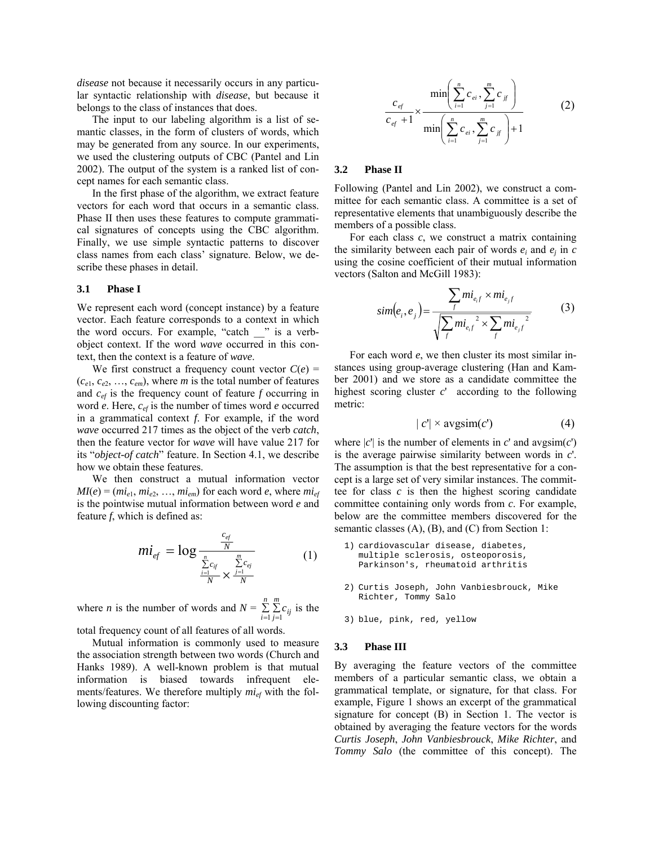*disease* not because it necessarily occurs in any particular syntactic relationship with *disease*, but because it belongs to the class of instances that does.

The input to our labeling algorithm is a list of semantic classes, in the form of clusters of words, which may be generated from any source. In our experiments, we used the clustering outputs of CBC (Pantel and Lin 2002). The output of the system is a ranked list of concept names for each semantic class.

In the first phase of the algorithm, we extract feature vectors for each word that occurs in a semantic class. Phase II then uses these features to compute grammatical signatures of concepts using the CBC algorithm. Finally, we use simple syntactic patterns to discover class names from each class' signature. Below, we describe these phases in detail.

#### **3.1 Phase I**

We represent each word (concept instance) by a feature vector. Each feature corresponds to a context in which the word occurs. For example, "catch  $\Box$ " is a verbobject context. If the word *wave* occurred in this context, then the context is a feature of *wave*.

We first construct a frequency count vector  $C(e)$  =  $(c_{e1}, c_{e2}, \ldots, c_{em})$ , where *m* is the total number of features and *cef* is the frequency count of feature *f* occurring in word *e*. Here, *cef* is the number of times word *e* occurred in a grammatical context *f*. For example, if the word *wave* occurred 217 times as the object of the verb *catch*, then the feature vector for *wave* will have value 217 for its "object-of catch" feature. In Section 4.1, we describe how we obtain these features.

We then construct a mutual information vector  $MI(e) = (mi_{e1}, mi_{e2}, \ldots, mi_{em})$  for each word *e*, where  $mi_{ef}$ is the pointwise mutual information between word *e* and feature *f*, which is defined as:

$$
mi_{ef} = \log \frac{\frac{c_{ef}}{N}}{\frac{\sum\limits_{i=1}^{n} c_{if}}{N} \times \frac{\sum\limits_{j=1}^{m} c_{ej}}{N}}
$$
(1)

where *n* is the number of words and  $N = \sum_{i=1}^{n} \sum_{j=i}^{N}$ *n i*  $\sum_{i=1}^{m} c_{ij}$  is the

total frequency count of all features of all words.

Mutual information is commonly used to measure the association strength between two words (Church and Hanks 1989). A well-known problem is that mutual information is biased towards infrequent elements/features. We therefore multiply  $mi_{ef}$  with the following discounting factor:

$$
\frac{c_{ef}}{c_{ef} + 1} \times \frac{\min\left(\sum_{i=1}^{n} c_{ei}, \sum_{j=1}^{m} c_{jj}\right)}{\min\left(\sum_{i=1}^{n} c_{ei}, \sum_{j=1}^{m} c_{jj}\right) + 1}
$$
(2)

#### **3.2 Phase II**

Following (Pantel and Lin 2002), we construct a committee for each semantic class. A committee is a set of representative elements that unambiguously describe the members of a possible class.

For each class *c*, we construct a matrix containing the similarity between each pair of words  $e_i$  and  $e_j$  in  $c$ using the cosine coefficient of their mutual information vectors (Salton and McGill 1983):

$$
sim(e_i, e_j) = \frac{\sum_{f} m i_{e,f} \times m i_{e,f}}{\sqrt{\sum_{f} m i_{e,f}^2 \times \sum_{f} m i_{e,f}^2}}
$$
(3)

For each word *e*, we then cluster its most similar instances using group-average clustering (Han and Kamber 2001) and we store as a candidate committee the highest scoring cluster *c*' according to the following metric:

$$
|c'| \times \operatorname{avgsim}(c') \tag{4}
$$

where  $|c'|$  is the number of elements in  $c'$  and  $\arg\!\!\!\!\operatorname{argmin}(c')$ is the average pairwise similarity between words in *c*'. The assumption is that the best representative for a concept is a large set of very similar instances. The committee for class *c* is then the highest scoring candidate committee containing only words from *c*. For example, below are the committee members discovered for the semantic classes  $(A)$ ,  $(B)$ , and  $(C)$  from Section 1:

- 1) cardiovascular disease, diabetes, multiple sclerosis, osteoporosis, Parkinson's, rheumatoid arthritis
- 2) Curtis Joseph, John Vanbiesbrouck, Mike Richter, Tommy Salo
- 3) blue, pink, red, yellow

#### **3.3 Phase III**

By averaging the feature vectors of the committee members of a particular semantic class, we obtain a grammatical template, or signature, for that class. For example, Figure 1 shows an excerpt of the grammatical signature for concept (B) in Section 1. The vector is obtained by averaging the feature vectors for the words *Curtis Joseph*, *John Vanbiesbrouck*, *Mike Richter*, and *Tommy Salo* (the committee of this concept). The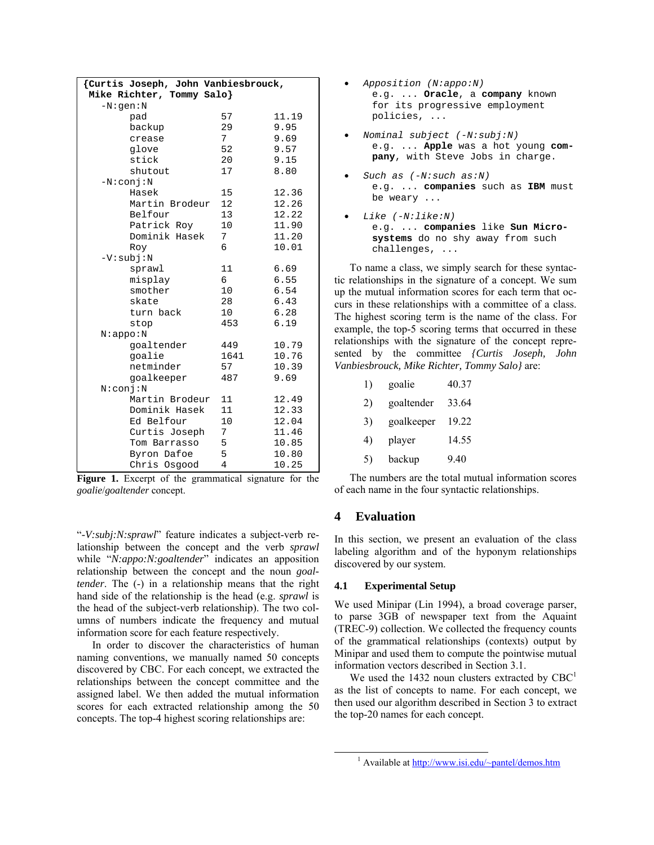| {Curtis Joseph, John Vanbiesbrouck, |                |       |  |  |
|-------------------------------------|----------------|-------|--|--|
| Mike Richter, Tommy Salo}           |                |       |  |  |
| $-N:gen:N$                          |                |       |  |  |
| pad                                 | 57             | 11.19 |  |  |
| backup                              | 29             | 9.95  |  |  |
| crease                              | 7 <sup>1</sup> | 9.69  |  |  |
| glove                               | 52             | 9.57  |  |  |
| stick                               | 20             | 9.15  |  |  |
| shutout                             | 17             | 8.80  |  |  |
| $-N:conj:N$                         |                |       |  |  |
| Hasek                               | 15             | 12.36 |  |  |
| Martin Brodeur                      | 12             | 12.26 |  |  |
| Belfour                             | 13             | 12.22 |  |  |
| Patrick Roy                         | 10             | 11.90 |  |  |
| Dominik Hasek                       | 7              | 11.20 |  |  |
| Roy                                 | 6              | 10.01 |  |  |
| $-V:subj:N$                         |                |       |  |  |
| sprawl                              | 11             | 6.69  |  |  |
| misplay                             | 6              | 6.55  |  |  |
| smother                             | 10             | 6.54  |  |  |
| skate                               | 28             | 6.43  |  |  |
| turn back                           | 10             | 6.28  |  |  |
| stop                                | 453            | 6.19  |  |  |
| N:appo:N                            |                |       |  |  |
| qoaltender                          | 449            | 10.79 |  |  |
| goalie                              | 1641           | 10.76 |  |  |
| netminder                           | 57             | 10.39 |  |  |
| goalkeeper                          | 487            | 9.69  |  |  |
| N:conj:N                            |                |       |  |  |
| Martin Brodeur                      | 11             | 12.49 |  |  |
| Dominik Hasek                       | 11             | 12.33 |  |  |
| Ed Belfour                          | 10             | 12.04 |  |  |
| Curtis Joseph                       | 7              | 11.46 |  |  |
| Tom Barrasso                        | 5              | 10.85 |  |  |
| Byron Dafoe                         | 5              | 10.80 |  |  |
| Chris Osgood                        | $\overline{4}$ | 10.25 |  |  |

|  |                            |  | <b>Figure 1.</b> Excerpt of the grammatical signature for the |  |  |
|--|----------------------------|--|---------------------------------------------------------------|--|--|
|  | goalie/goaltender concept. |  |                                                               |  |  |

ì*-V:subj:N:sprawl*î feature indicates a subject-verb relationship between the concept and the verb *sprawl* while "*N:appo:N:goaltender*" indicates an apposition relationship between the concept and the noun *goaltender*. The (-) in a relationship means that the right hand side of the relationship is the head (e.g. *sprawl* is the head of the subject-verb relationship). The two columns of numbers indicate the frequency and mutual information score for each feature respectively.

In order to discover the characteristics of human naming conventions, we manually named 50 concepts discovered by CBC. For each concept, we extracted the relationships between the concept committee and the assigned label. We then added the mutual information scores for each extracted relationship among the 50 concepts. The top-4 highest scoring relationships are:

- *Apposition (N:appo:N)* e.g. ... **Oracle**, a **company** known for its progressive employment policies, ...
- *Nominal subject (-N:subj:N)* e.g. ... **Apple** was a hot young **company**, with Steve Jobs in charge.
- *Such as (-N:such as:N)* e.g. ... **companies** such as **IBM** must be weary ...
- *Like (-N:like:N)* e.g. ... **companies** like **Sun Microsystems** do no shy away from such challenges, ...

To name a class, we simply search for these syntactic relationships in the signature of a concept. We sum up the mutual information scores for each term that occurs in these relationships with a committee of a class. The highest scoring term is the name of the class. For example, the top-5 scoring terms that occurred in these relationships with the signature of the concept represented by the committee *{Curtis Joseph, John Vanbiesbrouck, Mike Richter, Tommy Salo}* are:

| 1) | goalie     | 40.37 |
|----|------------|-------|
| 2) | goaltender | 33.64 |
| 3) | goalkeeper | 19.22 |
| 4) | player     | 14.55 |
| 5) | backup     | 9.40  |
|    |            |       |

The numbers are the total mutual information scores of each name in the four syntactic relationships.

# **4 Evaluation**

In this section, we present an evaluation of the class labeling algorithm and of the hyponym relationships discovered by our system.

### **4.1 Experimental Setup**

We used Minipar (Lin 1994), a broad coverage parser, to parse 3GB of newspaper text from the Aquaint (TREC-9) collection. We collected the frequency counts of the grammatical relationships (contexts) output by Minipar and used them to compute the pointwise mutual information vectors described in Section 3.1.

We used the 1432 noun clusters extracted by  $CBC<sup>1</sup>$ as the list of concepts to name. For each concept, we then used our algorithm described in Section 3 to extract the top-20 names for each concept.

 $\frac{1}{1}$ <sup>1</sup> Available at http://www.isi.edu/~pantel/demos.htm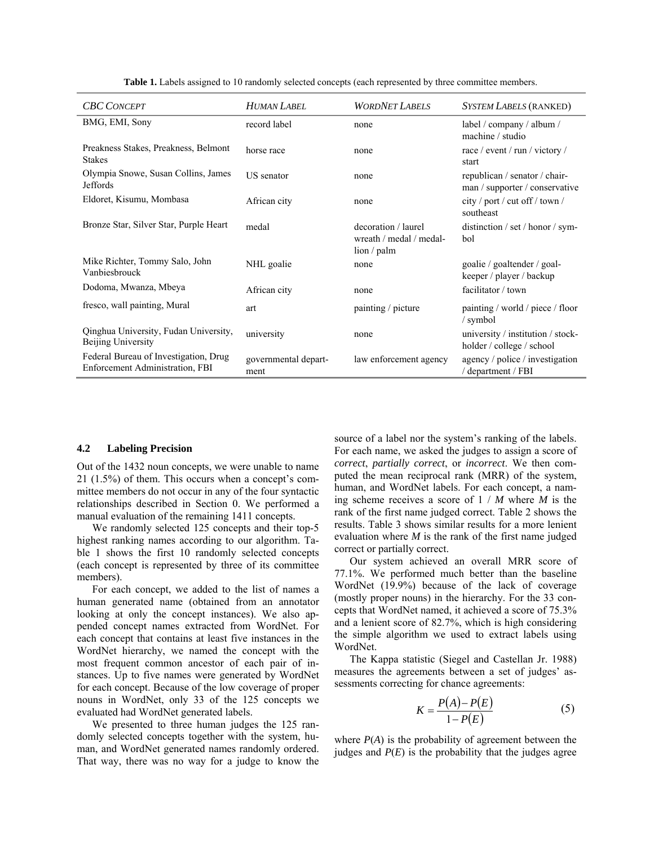| <b>CBC CONCEPT</b>                                                       | <b>HUMAN LABEL</b>           | <b>WORDNET LABELS</b>                                                  | <b>SYSTEM LABELS (RANKED)</b>                                   |
|--------------------------------------------------------------------------|------------------------------|------------------------------------------------------------------------|-----------------------------------------------------------------|
| BMG, EMI, Sony                                                           | record label                 | none                                                                   | label / company / album /<br>machine / studio                   |
| Preakness Stakes, Preakness, Belmont<br><b>Stakes</b>                    | horse race                   | none                                                                   | race / event / run / victory /<br>start                         |
| Olympia Snowe, Susan Collins, James<br><b>Jeffords</b>                   | US senator                   | none                                                                   | republican / senator / chair-<br>man / supporter / conservative |
| Eldoret, Kisumu, Mombasa                                                 | African city                 | none                                                                   | city / port / cut off / town /<br>southeast                     |
| Bronze Star, Silver Star, Purple Heart                                   | medal                        | decoration / laurel<br>wreath / medal / medal-<br>$\lim / \text{palm}$ | distinction / set / honor / sym-<br>bol                         |
| Mike Richter, Tommy Salo, John<br>Vanbiesbrouck                          | NHL goalie                   | none                                                                   | goalie / goaltender / goal-<br>keeper / player / backup         |
| Dodoma, Mwanza, Mbeya                                                    | African city                 | none                                                                   | facilitator / town                                              |
| fresco, wall painting, Mural                                             | art                          | painting / picture                                                     | painting / world / piece / floor<br>/ symbol                    |
| Qinghua University, Fudan University,<br>Beijing University              | university                   | none                                                                   | university / institution / stock-<br>holder / college / school  |
| Federal Bureau of Investigation, Drug<br>Enforcement Administration, FBI | governmental depart-<br>ment | law enforcement agency                                                 | agency / police / investigation<br>/ department / FBI           |

Table 1. Labels assigned to 10 randomly selected concepts (each represented by three committee members.

#### **4.2 Labeling Precision**

Out of the 1432 noun concepts, we were unable to name  $21$  (1.5%) of them. This occurs when a concept's committee members do not occur in any of the four syntactic relationships described in Section 0. We performed a manual evaluation of the remaining 1411 concepts.

We randomly selected 125 concepts and their top-5 highest ranking names according to our algorithm. Table 1 shows the first 10 randomly selected concepts (each concept is represented by three of its committee members).

For each concept, we added to the list of names a human generated name (obtained from an annotator looking at only the concept instances). We also appended concept names extracted from WordNet. For each concept that contains at least five instances in the WordNet hierarchy, we named the concept with the most frequent common ancestor of each pair of instances. Up to five names were generated by WordNet for each concept. Because of the low coverage of proper nouns in WordNet, only 33 of the 125 concepts we evaluated had WordNet generated labels.

We presented to three human judges the 125 randomly selected concepts together with the system, human, and WordNet generated names randomly ordered. That way, there was no way for a judge to know the source of a label nor the system's ranking of the labels. For each name, we asked the judges to assign a score of *correct*, *partially correct*, or *incorrect*. We then computed the mean reciprocal rank (MRR) of the system, human, and WordNet labels. For each concept, a naming scheme receives a score of 1 / *M* where *M* is the rank of the first name judged correct. Table 2 shows the results. Table 3 shows similar results for a more lenient evaluation where *M* is the rank of the first name judged correct or partially correct.

Our system achieved an overall MRR score of 77.1%. We performed much better than the baseline WordNet (19.9%) because of the lack of coverage (mostly proper nouns) in the hierarchy. For the 33 concepts that WordNet named, it achieved a score of 75.3% and a lenient score of 82.7%, which is high considering the simple algorithm we used to extract labels using WordNet.

The Kappa statistic (Siegel and Castellan Jr. 1988) measures the agreements between a set of judges' assessments correcting for chance agreements:

$$
K = \frac{P(A) - P(E)}{1 - P(E)}\tag{5}
$$

where  $P(A)$  is the probability of agreement between the judges and  $P(E)$  is the probability that the judges agree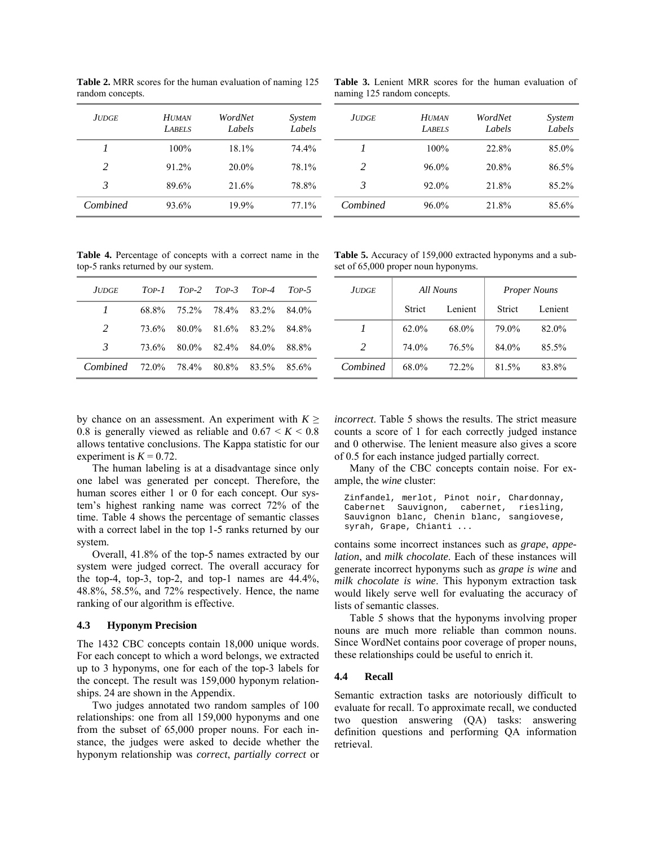**Table 2.** MRR scores for the human evaluation of naming 125 random concepts.

| JUDGE         | <b>HUMAN</b><br><b>LABELS</b> | WordNet<br>Labels | System<br>Labels |
|---------------|-------------------------------|-------------------|------------------|
| 1             | $100\%$                       | 18.1%             | 74.4%            |
| $\mathcal{L}$ | 91.2%                         | $20.0\%$          | 78.1%            |
| 3             | 89.6%                         | 21.6%             | 78.8%            |
| Combined      | 93.6%                         | 19.9%             | 77.1%            |

**Table 3.** Lenient MRR scores for the human evaluation of naming 125 random concepts.

| JUDGE    | <b>HUMAN</b><br><b>LABELS</b> | WordNet<br>Labels | System<br>Labels |
|----------|-------------------------------|-------------------|------------------|
| 1        | 100%                          | 22.8%             | 85.0%            |
| 2        | $96.0\%$                      | 20.8%             | 86.5%            |
| 3        | 92.0%                         | 21.8%             | 85.2%            |
| Combined | 96.0%                         | 21.8%             | 85.6%            |

**Table 4.** Percentage of concepts with a correct name in the top-5 ranks returned by our system.

| JUDGE TOP-1 TOP-2 TOP-3 TOP-4 TOP-5    |  |                               |  |
|----------------------------------------|--|-------------------------------|--|
| $\mathcal{I}$                          |  | 68.8% 75.2% 78.4% 83.2% 84.0% |  |
| 2                                      |  | 73.6% 80.0% 81.6% 83.2% 84.8% |  |
| 3                                      |  | 73.6% 80.0% 82.4% 84.0% 88.8% |  |
| Combined 72.0% 78.4% 80.8% 83.5% 85.6% |  |                               |  |

**Table 5.** Accuracy of 159,000 extracted hyponyms and a subset of 65,000 proper noun hyponyms.

| JUDGE    | All Nouns     |         |               |         |  | <b>Proper Nouns</b> |
|----------|---------------|---------|---------------|---------|--|---------------------|
|          | <b>Strict</b> | Lenient | <b>Strict</b> | Lenient |  |                     |
|          | $62.0\%$      | 68.0%   | 79.0%         | 82.0%   |  |                     |
| 2        | 74.0%         | 76.5%   | 84.0%         | 85.5%   |  |                     |
| Combined | 68.0%         | 72.2%   | 81.5%         | 83.8%   |  |                     |

by chance on an assessment. An experiment with  $K \geq$ 0.8 is generally viewed as reliable and  $0.67 \le K \le 0.8$ allows tentative conclusions. The Kappa statistic for our experiment is  $K = 0.72$ .

The human labeling is at a disadvantage since only one label was generated per concept. Therefore, the human scores either 1 or 0 for each concept. Our system's highest ranking name was correct 72% of the time. Table 4 shows the percentage of semantic classes with a correct label in the top 1-5 ranks returned by our system.

Overall, 41.8% of the top-5 names extracted by our system were judged correct. The overall accuracy for the top-4, top-3, top-2, and top-1 names are 44.4%, 48.8%, 58.5%, and 72% respectively. Hence, the name ranking of our algorithm is effective.

### **4.3 Hyponym Precision**

The 1432 CBC concepts contain 18,000 unique words. For each concept to which a word belongs, we extracted up to 3 hyponyms, one for each of the top-3 labels for the concept. The result was 159,000 hyponym relationships. 24 are shown in the Appendix.

Two judges annotated two random samples of 100 relationships: one from all 159,000 hyponyms and one from the subset of 65,000 proper nouns. For each instance, the judges were asked to decide whether the hyponym relationship was *correct*, *partially correct* or

*incorrect*. Table 5 shows the results. The strict measure counts a score of 1 for each correctly judged instance and 0 otherwise. The lenient measure also gives a score of 0.5 for each instance judged partially correct.

Many of the CBC concepts contain noise. For example, the *wine* cluster:

Zinfandel, merlot, Pinot noir, Chardonnay, Cabernet Sauvignon, cabernet, riesling, Sauvignon blanc, Chenin blanc, sangiovese, syrah, Grape, Chianti ...

contains some incorrect instances such as *grape*, *appelation*, and *milk chocolate*. Each of these instances will generate incorrect hyponyms such as *grape is wine* and *milk chocolate is wine*. This hyponym extraction task would likely serve well for evaluating the accuracy of lists of semantic classes.

Table 5 shows that the hyponyms involving proper nouns are much more reliable than common nouns. Since WordNet contains poor coverage of proper nouns, these relationships could be useful to enrich it.

### **4.4 Recall**

Semantic extraction tasks are notoriously difficult to evaluate for recall. To approximate recall, we conducted two question answering (QA) tasks: answering definition questions and performing QA information retrieval.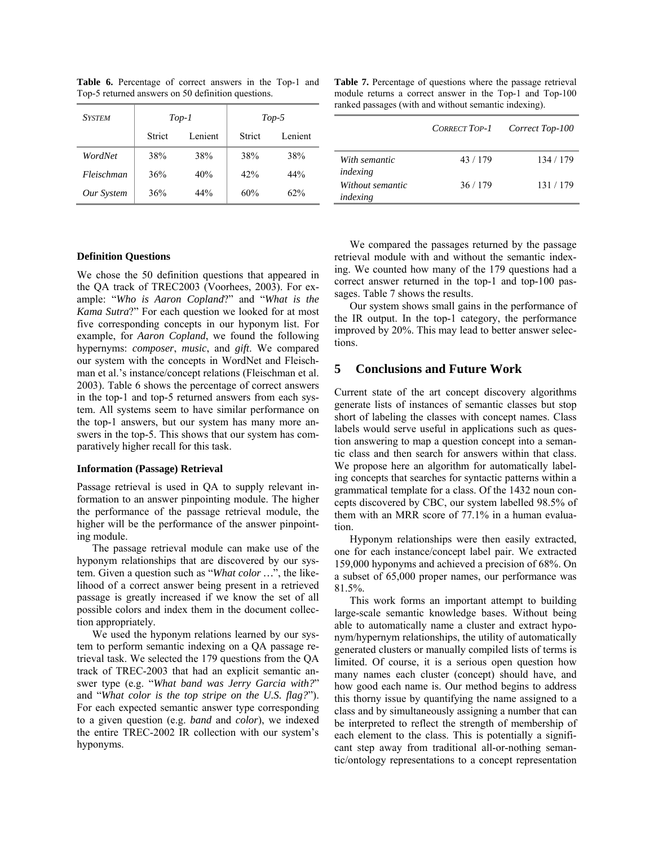| <b>SYSTEM</b> | $Top-1$       |         |        | $Top-5$ |
|---------------|---------------|---------|--------|---------|
|               | <b>Strict</b> | Lenient | Strict | Lenient |
| WordNet       | 38%           | 38%     | 38%    | 38%     |
| Fleischman    | 36%           | 40%     | 42%    | 44%     |
| Our System    | 36%           | 44%     | 60%    | 62%     |

**Table 6.** Percentage of correct answers in the Top-1 and Top-5 returned answers on 50 definition questions.

**Table 7.** Percentage of questions where the passage retrieval module returns a correct answer in the Top-1 and Top-100 ranked passages (with and without semantic indexing).

|                              | <b>CORRECT TOP-1</b> | Correct Top-100 |
|------------------------------|----------------------|-----------------|
| With semantic<br>indexing    | 43/179               | 134 / 179       |
| Without semantic<br>indexing | 36/179               | 131/179         |

### **Definition Questions**

We chose the 50 definition questions that appeared in the QA track of TREC2003 (Voorhees, 2003). For example: "Who is Aaron Copland?" and "What is the *Kama Sutra*?" For each question we looked for at most five corresponding concepts in our hyponym list. For example, for *Aaron Copland*, we found the following hypernyms: *composer*, *music*, and *gift*. We compared our system with the concepts in WordNet and Fleischman et al.'s instance/concept relations (Fleischman et al. 2003). Table 6 shows the percentage of correct answers in the top-1 and top-5 returned answers from each system. All systems seem to have similar performance on the top-1 answers, but our system has many more answers in the top-5. This shows that our system has comparatively higher recall for this task.

#### **Information (Passage) Retrieval**

Passage retrieval is used in QA to supply relevant information to an answer pinpointing module. The higher the performance of the passage retrieval module, the higher will be the performance of the answer pinpointing module.

The passage retrieval module can make use of the hyponym relationships that are discovered by our system. Given a question such as "*What color ...*", the likelihood of a correct answer being present in a retrieved passage is greatly increased if we know the set of all possible colors and index them in the document collection appropriately.

We used the hyponym relations learned by our system to perform semantic indexing on a QA passage retrieval task. We selected the 179 questions from the QA track of TREC-2003 that had an explicit semantic answer type (e.g. "What band was Jerry Garcia with?" and "What color is the top stripe on the U.S. flag?"). For each expected semantic answer type corresponding to a given question (e.g. *band* and *color*), we indexed the entire TREC-2002 IR collection with our system's hyponyms.

We compared the passages returned by the passage retrieval module with and without the semantic indexing. We counted how many of the 179 questions had a correct answer returned in the top-1 and top-100 passages. Table 7 shows the results.

Our system shows small gains in the performance of the IR output. In the top-1 category, the performance improved by 20%. This may lead to better answer selections.

# **5 Conclusions and Future Work**

Current state of the art concept discovery algorithms generate lists of instances of semantic classes but stop short of labeling the classes with concept names. Class labels would serve useful in applications such as question answering to map a question concept into a semantic class and then search for answers within that class. We propose here an algorithm for automatically labeling concepts that searches for syntactic patterns within a grammatical template for a class. Of the 1432 noun concepts discovered by CBC, our system labelled 98.5% of them with an MRR score of 77.1% in a human evaluation.

Hyponym relationships were then easily extracted, one for each instance/concept label pair. We extracted 159,000 hyponyms and achieved a precision of 68%. On a subset of 65,000 proper names, our performance was 81.5%.

This work forms an important attempt to building large-scale semantic knowledge bases. Without being able to automatically name a cluster and extract hyponym/hypernym relationships, the utility of automatically generated clusters or manually compiled lists of terms is limited. Of course, it is a serious open question how many names each cluster (concept) should have, and how good each name is. Our method begins to address this thorny issue by quantifying the name assigned to a class and by simultaneously assigning a number that can be interpreted to reflect the strength of membership of each element to the class. This is potentially a significant step away from traditional all-or-nothing semantic/ontology representations to a concept representation